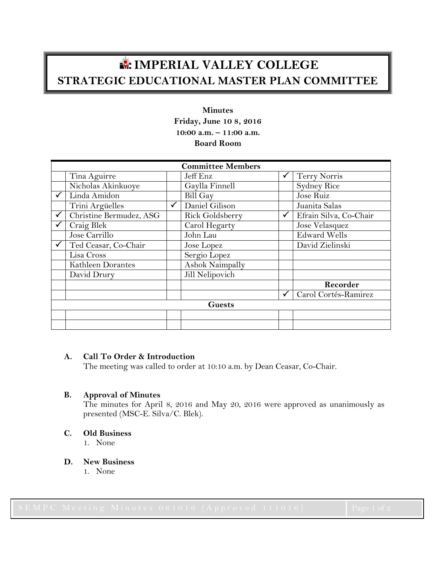# **IMPERIAL VALLEY COLLEGE STRATEGIC EDUCATIONAL MASTER PLAN COMMITTEE**

# **Minutes Friday, June 10 8, 2016 10:00 a.m. – 11:00 a.m. Board Room**

| <b>Committee Members</b> |                         |              |                 |              |                        |
|--------------------------|-------------------------|--------------|-----------------|--------------|------------------------|
|                          | Tina Aguirre            |              | Jeff Enz        |              | Terry Norris           |
|                          | Nicholas Akinkuoye      |              | Gaylla Finnell  |              | <b>Sydney Rice</b>     |
|                          | Linda Amidon            |              | Bill Gay        |              | Jose Ruiz              |
|                          | Trini Argüelles         | $\checkmark$ | Daniel Gilison  |              | Juanita Salas          |
|                          | Christine Bermudez, ASG |              | Rick Goldsberry | $\checkmark$ | Efrain Silva, Co-Chair |
|                          | Craig Blek              |              | Carol Hegarty   |              | Jose Velasquez         |
|                          | Jose Carrillo           |              | John Lau        |              | <b>Edward Wells</b>    |
|                          | Ted Ceasar, Co-Chair    |              | Jose Lopez      |              | David Zielinski        |
|                          | Lisa Cross              |              | Sergio Lopez    |              |                        |
|                          | Kathleen Dorantes       |              | Ashok Naimpally |              |                        |
|                          | David Drury             |              | Jill Nelipovich |              |                        |
|                          |                         |              |                 |              | Recorder               |
|                          |                         |              |                 | √            | Carol Cortés-Ramirez   |
| <b>Guests</b>            |                         |              |                 |              |                        |
|                          |                         |              |                 |              |                        |
|                          |                         |              |                 |              |                        |

# **A. Call To Order & Introduction**

The meeting was called to order at 10:10 a.m. by Dean Ceasar, Co-Chair.

# **B. Approval of Minutes**

The minutes for April 8, 2016 and May 20, 2016 were approved as unanimously as presented (MSC-E. Silva/C. Blek).

**C. Old Business**

1. None

- **D. New Business**
	- 1. None